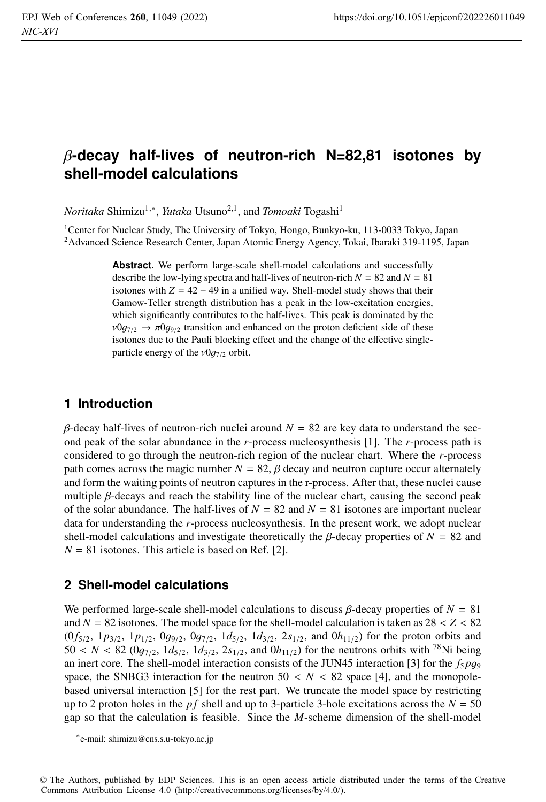# β**-decay half-lives of neutron-rich N=82,81 isotones by shell-model calculations**

*Noritaka* Shimizu<sup>1,∗</sup>, *Yutaka* Utsuno<sup>2,1</sup>, and *Tomoaki* Togashi<sup>1</sup>

<sup>1</sup>Center for Nuclear Study, The University of Tokyo, Hongo, Bunkyo-ku, 113-0033 Tokyo, Japan 2Advanced Science Research Center, Japan Atomic Energy Agency, Tokai, Ibaraki 319-1195, Japan

> **Abstract.** We perform large-scale shell-model calculations and successfully describe the low-lying spectra and half-lives of neutron-rich  $N = 82$  and  $N = 81$ isotones with  $Z = 42 - 49$  in a unified way. Shell-model study shows that their Gamow-Teller strength distribution has a peak in the low-excitation energies, which significantly contributes to the half-lives. This peak is dominated by the  $v0g_{7/2} \rightarrow \pi 0g_{9/2}$  transition and enhanced on the proton deficient side of these isotones due to the Pauli blocking effect and the change of the effective singleparticle energy of the  $v0g_{7/2}$  orbit.

### **1 Introduction**

 $β$ -decay half-lives of neutron-rich nuclei around  $N = 82$  are key data to understand the second peak of the solar abundance in the *r*-process nucleosynthesis [1]. The *r*-process path is considered to go through the neutron-rich region of the nuclear chart. Where the *r*-process path comes across the magic number  $N = 82$ ,  $\beta$  decay and neutron capture occur alternately and form the waiting points of neutron captures in the r-process. After that, these nuclei cause multiple  $\beta$ -decays and reach the stability line of the nuclear chart, causing the second peak of the solar abundance. The half-lives of  $N = 82$  and  $N = 81$  isotones are important nuclear data for understanding the *r*-process nucleosynthesis. In the present work, we adopt nuclear shell-model calculations and investigate theoretically the  $\beta$ -decay properties of  $N = 82$  and  $N = 81$  isotones. This article is based on Ref. [2].

### **2 Shell-model calculations**

We performed large-scale shell-model calculations to discuss  $\beta$ -decay properties of  $N = 81$ and  $N = 82$  isotones. The model space for the shell-model calculation is taken as  $28 < Z < 82$  $(0 f_{5/2}, 1 p_{3/2}, 1 p_{1/2}, 0 g_{9/2}, 0 g_{7/2}, 1 d_{5/2}, 1 d_{3/2}, 2 s_{1/2},$  and  $0 h_{11/2}$ ) for the proton orbits and  $50 < N < 82$  (0*g*<sub>7/2</sub>, 1*d*<sub>5/2</sub>, 1*d*<sub>3/2</sub>, 2*s*<sub>1/2</sub>, and 0*h*<sub>11/2</sub>) for the neutrons orbits with <sup>78</sup>Ni being an inert core. The shell-model interaction consists of the JUN45 interaction [3] for the  $f_5 p g_9$ space, the SNBG3 interaction for the neutron  $50 < N < 82$  space [4], and the monopolebased universal interaction [5] for the rest part. We truncate the model space by restricting up to 2 proton holes in the *pf* shell and up to 3-particle 3-hole excitations across the  $N = 50$ gap so that the calculation is feasible. Since the *M*-scheme dimension of the shell-model

<sup>∗</sup>e-mail: shimizu@cns.s.u-tokyo.ac.jp

<sup>©</sup> The Authors, published by EDP Sciences. This is an open access article distributed under the terms of the Creative Commons Attribution License 4.0 (http://creativecommons.org/licenses/by/4.0/).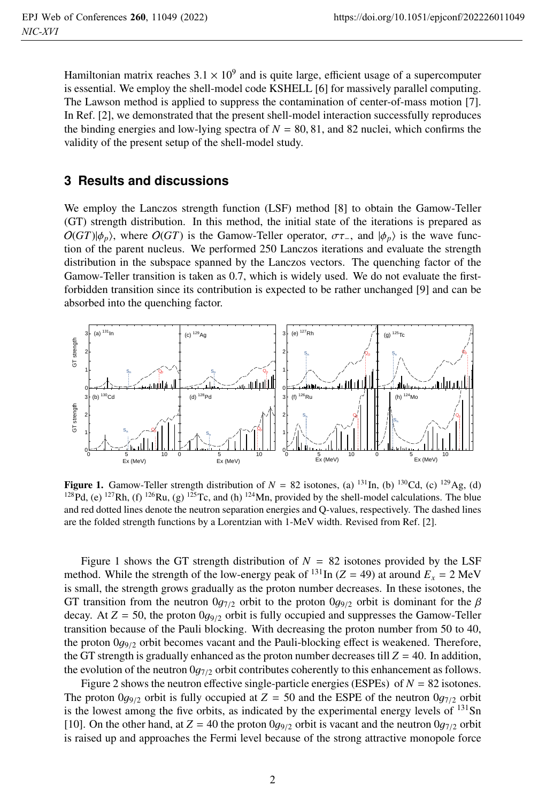Hamiltonian matrix reaches  $3.1 \times 10^9$  and is quite large, efficient usage of a supercomputer is essential. We employ the shell-model code KSHELL [6] for massively parallel computing. The Lawson method is applied to suppress the contamination of center-of-mass motion [7]. In Ref. [2], we demonstrated that the present shell-model interaction successfully reproduces the binding energies and low-lying spectra of  $N = 80, 81$ , and 82 nuclei, which confirms the validity of the present setup of the shell-model study.

#### **3 Results and discussions**

We employ the Lanczos strength function (LSF) method [8] to obtain the Gamow-Teller (GT) strength distribution. In this method, the initial state of the iterations is prepared as  $O(GT)|\phi_p\rangle$ , where  $O(GT)$  is the Gamow-Teller operator,  $\sigma\tau_{-}$ , and  $|\phi_p\rangle$  is the wave function of the parent nucleus. We performed 250 Lanczos iterations and evaluate the strength distribution in the subspace spanned by the Lanczos vectors. The quenching factor of the Gamow-Teller transition is taken as 0.7, which is widely used. We do not evaluate the firstforbidden transition since its contribution is expected to be rather unchanged [9] and can be absorbed into the quenching factor.



**Figure 1.** Gamow-Teller strength distribution of  $N = 82$  isotones, (a) <sup>131</sup>In, (b) <sup>130</sup>Cd, (c) <sup>129</sup>Ag, (d) <sup>128</sup>Pd, (e) <sup>127</sup>Rh, (f) <sup>126</sup>Ru, (g) <sup>125</sup>Tc, and (h) <sup>124</sup>Mn, provided by the shell-model calculations. The and red dotted lines denote the neutron separation energies and Q-values, respectively. The dashed lines are the folded strength functions by a Lorentzian with 1-MeV width. Revised from Ref. [2].

Figure 1 shows the GT strength distribution of  $N = 82$  isotones provided by the LSF method. While the strength of the low-energy peak of <sup>131</sup>In ( $Z = 49$ ) at around  $E_x = 2$  MeV is small, the strength grows gradually as the proton number decreases. In these isotones, the GT transition from the neutron  $0g_{7/2}$  orbit to the proton  $0g_{9/2}$  orbit is dominant for the  $\beta$ decay. At  $Z = 50$ , the proton  $0g_{9/2}$  orbit is fully occupied and suppresses the Gamow-Teller transition because of the Pauli blocking. With decreasing the proton number from 50 to 40, the proton  $0q_{9/2}$  orbit becomes vacant and the Pauli-blocking effect is weakened. Therefore, the GT strength is gradually enhanced as the proton number decreases till  $Z = 40$ . In addition, the evolution of the neutron  $0g_{7/2}$  orbit contributes coherently to this enhancement as follows.

Figure 2 shows the neutron effective single-particle energies (ESPEs) of  $N = 82$  isotones. The proton  $0g_{9/2}$  orbit is fully occupied at  $Z = 50$  and the ESPE of the neutron  $0g_{7/2}$  orbit is the lowest among the five orbits, as indicated by the experimental energy levels of  $^{131}Sn$ [10]. On the other hand, at  $Z = 40$  the proton  $0q_{9/2}$  orbit is vacant and the neutron  $0q_{7/2}$  orbit is raised up and approaches the Fermi level because of the strong attractive monopole force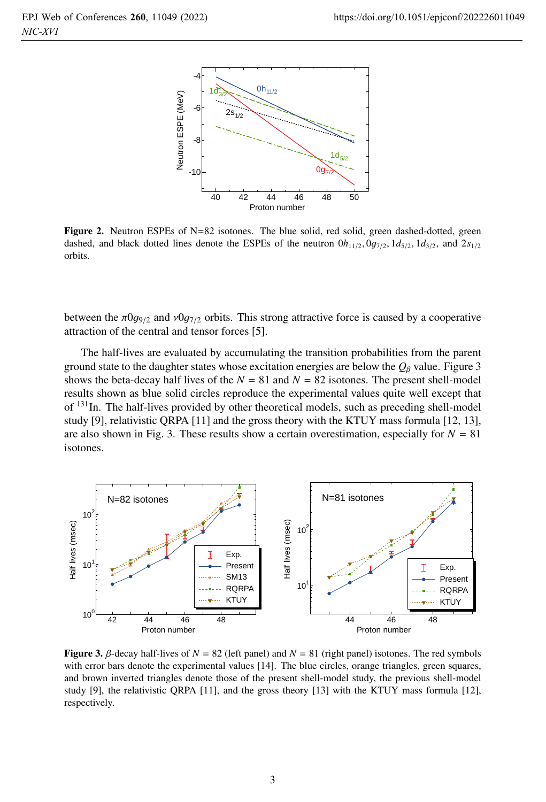

Figure 2. Neutron ESPEs of N=82 isotones. The blue solid, red solid, green dashed-dotted, green dashed, and black dotted lines denote the ESPEs of the neutron  $0h_{11/2}$ ,  $0g_{7/2}$ ,  $1d_{5/2}$ ,  $1d_{3/2}$ , and  $2s_{1/2}$ orbits.

between the  $\pi 0g_{9/2}$  and  $\nu 0g_{7/2}$  orbits. This strong attractive force is caused by a cooperative attraction of the central and tensor forces [5].

The half-lives are evaluated by accumulating the transition probabilities from the parent ground state to the daughter states whose excitation energies are below the  $Q<sub>β</sub>$  value. Figure 3 shows the beta-decay half lives of the  $N = 81$  and  $N = 82$  isotones. The present shell-model results shown as blue solid circles reproduce the experimental values quite well except that of  $131$ In. The half-lives provided by other theoretical models, such as preceding shell-model study [9], relativistic QRPA [11] and the gross theory with the KTUY mass formula [12, 13], are also shown in Fig. 3. These results show a certain overestimation, especially for  $N = 81$ isotones.



**Figure 3.**  $\beta$ -decay half-lives of  $N = 82$  (left panel) and  $N = 81$  (right panel) isotones. The red symbols with error bars denote the experimental values [14]. The blue circles, orange triangles, green squares, and brown inverted triangles denote those of the present shell-model study, the previous shell-model study [9], the relativistic QRPA [11], and the gross theory [13] with the KTUY mass formula [12], respectively.